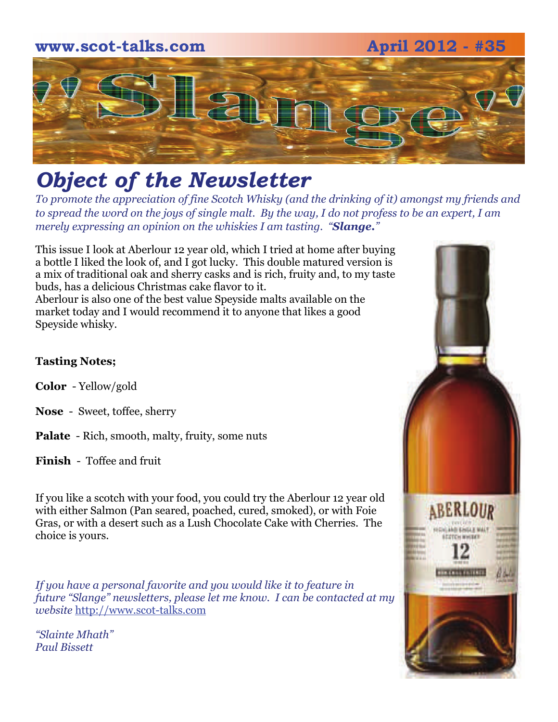

# *Object of the Newsletter*

*To promote the appreciation of fine Scotch Whisky (and the drinking of it) amongst my friends and to spread the word on the joys of single malt. By the way, I do not profess to be an expert, I am merely expressing an opinion on the whiskies I am tasting. "Slange."* 

This issue I look at Aberlour 12 year old, which I tried at home after buying a bottle I liked the look of, and I got lucky. This double matured version is a mix of traditional oak and sherry casks and is rich, fruity and, to my taste buds, has a delicious Christmas cake flavor to it. Aberlour is also one of the best value Speyside malts available on the market today and I would recommend it to anyone that likes a good Speyside whisky.

#### **Tasting Notes;**

- **Color**  Yellow/gold
- **Nose**  Sweet, toffee, sherry
- **Palate**  Rich, smooth, malty, fruity, some nuts
- **Finish**  Toffee and fruit

If you like a scotch with your food, you could try the Aberlour 12 year old with either Salmon (Pan seared, poached, cured, smoked), or with Foie Gras, or with a desert such as a Lush Chocolate Cake with Cherries. The choice is yours.

*If you have a personal favorite and you would like it to feature in future "Slange" newsletters, please let me know. I can be contacted at my website* [http://www.scot-talks.com](http://www.scot-talks.com/default.html)

*"Slainte Mhath" Paul Bissett*

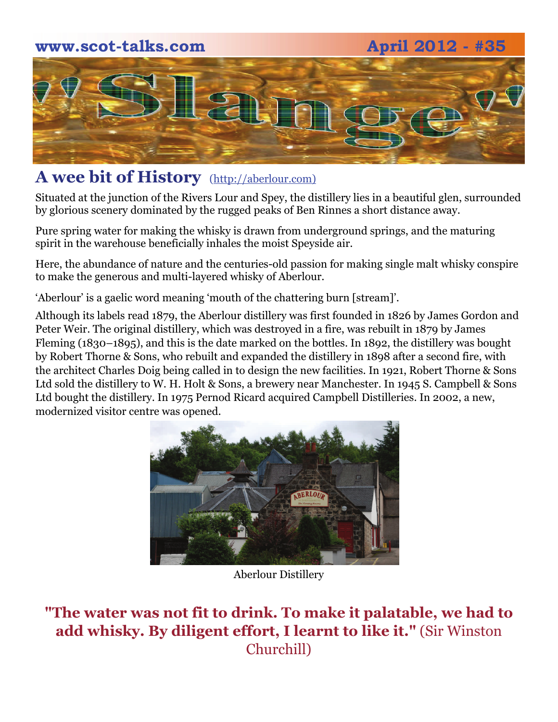### **www.scot-talks.com April 2012 - #35**





## **A wee bit of History** [\(http://aberlour.com\)](http://aberlour.com/)

Situated at the junction of the Rivers Lour and Spey, the distillery lies in a beautiful glen, surrounded by glorious scenery dominated by the rugged peaks of Ben Rinnes a short distance away.

Pure spring water for making the whisky is drawn from underground springs, and the maturing spirit in the warehouse beneficially inhales the moist Speyside air.

Here, the abundance of nature and the centuries-old passion for making single malt whisky conspire to make the generous and multi-layered whisky of Aberlour.

'Aberlour' is a gaelic word meaning 'mouth of the chattering burn [stream]'.

Although its labels read 1879, the Aberlour distillery was first founded in 1826 by James Gordon and Peter Weir. The original distillery, which was destroyed in a fire, was rebuilt in 1879 by James Fleming (1830–1895), and this is the date marked on the bottles. In 1892, the distillery was bought by Robert Thorne & Sons, who rebuilt and expanded the distillery in 1898 after a second fire, with the architect Charles Doig being called in to design the new facilities. In 1921, Robert Thorne & Sons Ltd sold the distillery to W. H. Holt & Sons, a brewery near Manchester. In 1945 S. Campbell & Sons Ltd bought the distillery. In 1975 Pernod Ricard acquired Campbell Distilleries. In 2002, a new, modernized visitor centre was opened.



Aberlour Distillery

**"The water was not fit to drink. To make it palatable, we had to add whisky. By diligent effort, I learnt to like it."** (Sir Winston Churchill)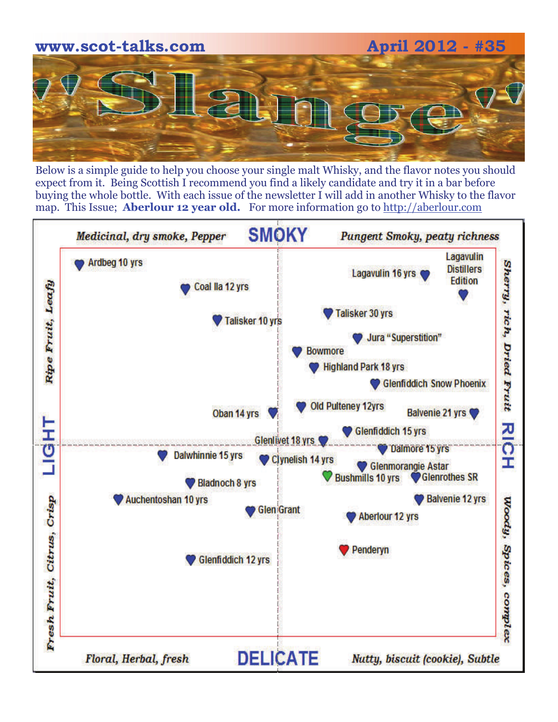

Below is a simple guide to help you choose your single malt Whisky, and the flavor notes you should expect from it. Being Scottish I recommend you find a likely candidate and try it in a bar before buying the whole bottle. With each issue of the newsletter I will add in another Whisky to the flavor map. This Issue; **Aberlour 12 year old.** For more information go to [http://aberlour.com](http://aberlour.com/)